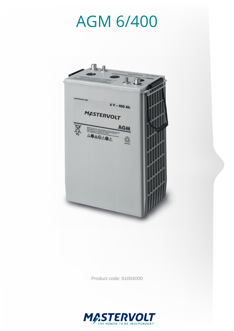

Product code: 61004000

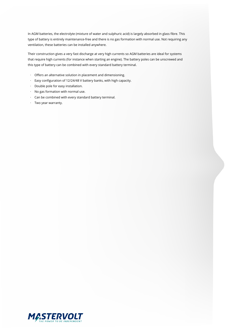In AGM batteries, the electrolyte (mixture of water and sulphuric acid) is largely absorbed in glass fibre. This type of battery is entirely maintenance-free and there is no gas formation with normal use. Not requiring any ventilation, these batteries can be installed anywhere.

Their construction gives a very fast discharge at very high currents so AGM batteries are ideal for systems that require high currents (for instance when starting an engine). The battery poles can be unscrewed and this type of battery can be combined with every standard battery terminal.

- · Offers an alternative solution in placement and dimensioning.
- · Easy configuration of 12/24/48 V battery banks, with high capacity.
- · Double pole for easy installation.
- · No gas formation with normal use.
- · Can be combined with every standard battery terminal.
- · Two year warranty.